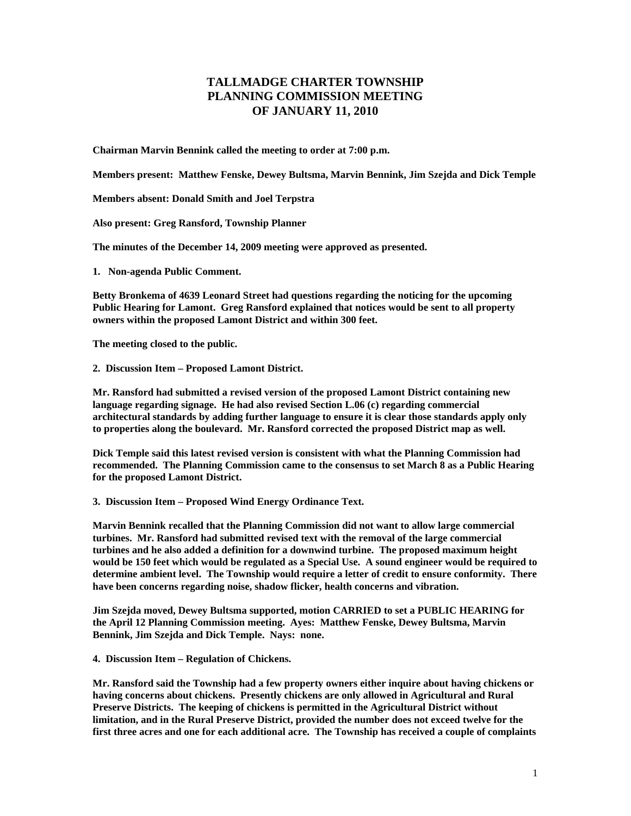## **TALLMADGE CHARTER TOWNSHIP PLANNING COMMISSION MEETING OF JANUARY 11, 2010**

**Chairman Marvin Bennink called the meeting to order at 7:00 p.m.** 

**Members present: Matthew Fenske, Dewey Bultsma, Marvin Bennink, Jim Szejda and Dick Temple** 

**Members absent: Donald Smith and Joel Terpstra** 

**Also present: Greg Ransford, Township Planner** 

**The minutes of the December 14, 2009 meeting were approved as presented.** 

**1. Non-agenda Public Comment.** 

**Betty Bronkema of 4639 Leonard Street had questions regarding the noticing for the upcoming Public Hearing for Lamont. Greg Ransford explained that notices would be sent to all property owners within the proposed Lamont District and within 300 feet.** 

**The meeting closed to the public.** 

**2. Discussion Item – Proposed Lamont District.** 

**Mr. Ransford had submitted a revised version of the proposed Lamont District containing new language regarding signage. He had also revised Section L.06 (c) regarding commercial architectural standards by adding further language to ensure it is clear those standards apply only to properties along the boulevard. Mr. Ransford corrected the proposed District map as well.** 

**Dick Temple said this latest revised version is consistent with what the Planning Commission had recommended. The Planning Commission came to the consensus to set March 8 as a Public Hearing for the proposed Lamont District.** 

**3. Discussion Item – Proposed Wind Energy Ordinance Text.** 

**Marvin Bennink recalled that the Planning Commission did not want to allow large commercial turbines. Mr. Ransford had submitted revised text with the removal of the large commercial turbines and he also added a definition for a downwind turbine. The proposed maximum height would be 150 feet which would be regulated as a Special Use. A sound engineer would be required to determine ambient level. The Township would require a letter of credit to ensure conformity. There have been concerns regarding noise, shadow flicker, health concerns and vibration.** 

**Jim Szejda moved, Dewey Bultsma supported, motion CARRIED to set a PUBLIC HEARING for the April 12 Planning Commission meeting. Ayes: Matthew Fenske, Dewey Bultsma, Marvin Bennink, Jim Szejda and Dick Temple. Nays: none.** 

**4. Discussion Item – Regulation of Chickens.** 

**Mr. Ransford said the Township had a few property owners either inquire about having chickens or having concerns about chickens. Presently chickens are only allowed in Agricultural and Rural Preserve Districts. The keeping of chickens is permitted in the Agricultural District without limitation, and in the Rural Preserve District, provided the number does not exceed twelve for the first three acres and one for each additional acre. The Township has received a couple of complaints**